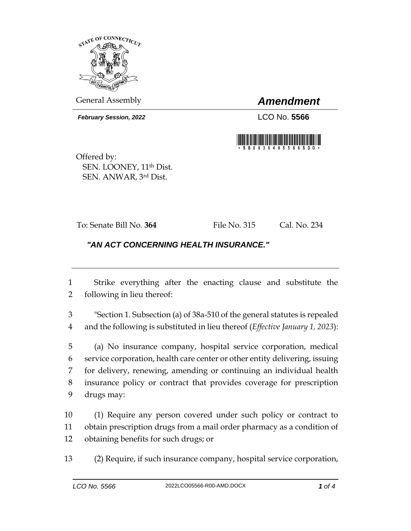

General Assembly *Amendment*

*February Session, 2022* LCO No. **5566**



Offered by: SEN. LOONEY, 11<sup>th</sup> Dist. SEN. ANWAR, 3rd Dist.

To: Senate Bill No. **364** File No. 315 Cal. No. 234

## *"AN ACT CONCERNING HEALTH INSURANCE."*

 Strike everything after the enacting clause and substitute the following in lieu thereof:

 "Section 1. Subsection (a) of 38a-510 of the general statutes is repealed and the following is substituted in lieu thereof (*Effective January 1, 2023*):

 (a) No insurance company, hospital service corporation, medical service corporation, health care center or other entity delivering, issuing for delivery, renewing, amending or continuing an individual health insurance policy or contract that provides coverage for prescription drugs may:

 (1) Require any person covered under such policy or contract to obtain prescription drugs from a mail order pharmacy as a condition of obtaining benefits for such drugs; or

(2) Require, if such insurance company, hospital service corporation,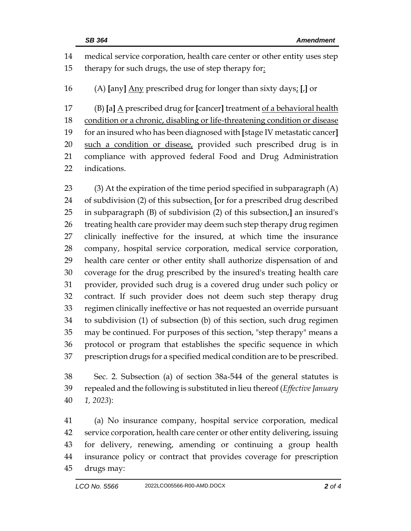medical service corporation, health care center or other entity uses step therapy for such drugs, the use of step therapy for: (A) **[**any**]** Any prescribed drug for longer than sixty days; **[**,**]** or (B) **[**a**]** A prescribed drug for **[**cancer**]** treatment of a behavioral health 18 condition or a chronic, disabling or life-threatening condition or disease for an insured who has been diagnosed with **[**stage IV metastatic cancer**]** such a condition or disease, provided such prescribed drug is in compliance with approved federal Food and Drug Administration indications.

 (3) At the expiration of the time period specified in subparagraph (A) of subdivision (2) of this subsection, **[**or for a prescribed drug described in subparagraph (B) of subdivision (2) of this subsection,**]** an insured's 26 treating health care provider may deem such step therapy drug regimen clinically ineffective for the insured, at which time the insurance company, hospital service corporation, medical service corporation, health care center or other entity shall authorize dispensation of and coverage for the drug prescribed by the insured's treating health care provider, provided such drug is a covered drug under such policy or contract. If such provider does not deem such step therapy drug regimen clinically ineffective or has not requested an override pursuant to subdivision (1) of subsection (b) of this section, such drug regimen may be continued. For purposes of this section, "step therapy" means a protocol or program that establishes the specific sequence in which prescription drugs for a specified medical condition are to be prescribed.

 Sec. 2. Subsection (a) of section 38a-544 of the general statutes is repealed and the following is substituted in lieu thereof (*Effective January 1, 2023*):

 (a) No insurance company, hospital service corporation, medical service corporation, health care center or other entity delivering, issuing for delivery, renewing, amending or continuing a group health insurance policy or contract that provides coverage for prescription drugs may: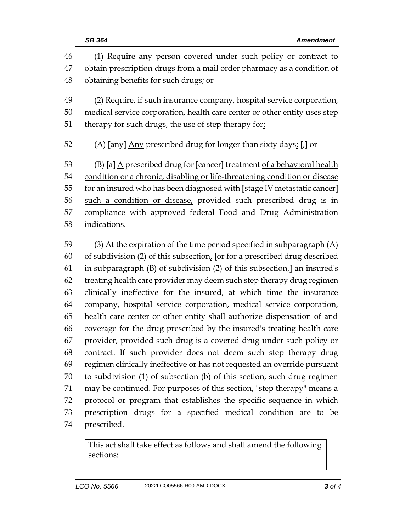| 46 | (1) Require any person covered under such policy or contract to            |  |  |
|----|----------------------------------------------------------------------------|--|--|
| 47 | obtain prescription drugs from a mail order pharmacy as a condition of     |  |  |
| 48 | obtaining benefits for such drugs; or                                      |  |  |
| 49 | (2) Require, if such insurance company, hospital service corporation,      |  |  |
| 50 | medical service corporation, health care center or other entity uses step  |  |  |
| 51 | therapy for such drugs, the use of step therapy for:                       |  |  |
| 52 | (A) [any] Any prescribed drug for longer than sixty days; [J] or           |  |  |
| 53 | (B) [a] A prescribed drug for [cancer] treatment of a behavioral health    |  |  |
| 54 | condition or a chronic, disabling or life-threatening condition or disease |  |  |
| 55 | for an insured who has been diagnosed with [stage IV metastatic cancer]    |  |  |
| 56 | such a condition or disease, provided such prescribed drug is in           |  |  |
| 57 | compliance with approved federal Food and Drug Administration              |  |  |
| 58 | indications.                                                               |  |  |
| 59 | $(3)$ At the expiration of the time period specified in subparagraph $(A)$ |  |  |
| 60 | of subdivision (2) of this subsection, [or for a prescribed drug described |  |  |
| 61 | in subparagraph (B) of subdivision (2) of this subsection,] an insured's   |  |  |
| 62 | treating health care provider may deem such step therapy drug regimen      |  |  |
| 63 | clinically ineffective for the insured, at which time the insurance        |  |  |
| 64 | company, hospital service corporation, medical service corporation,        |  |  |
| 65 | health care center or other entity shall authorize dispensation of and     |  |  |
| 66 | coverage for the drug prescribed by the insured's treating health care     |  |  |
| 67 | provider, provided such drug is a covered drug under such policy or        |  |  |
| 68 | contract. If such provider does not deem such step therapy drug            |  |  |
| 69 | regimen clinically ineffective or has not requested an override pursuant   |  |  |
| 70 | to subdivision (1) of subsection (b) of this section, such drug regimen    |  |  |

 may be continued. For purposes of this section, "step therapy" means a protocol or program that establishes the specific sequence in which prescription drugs for a specified medical condition are to be

prescribed."

This act shall take effect as follows and shall amend the following sections: